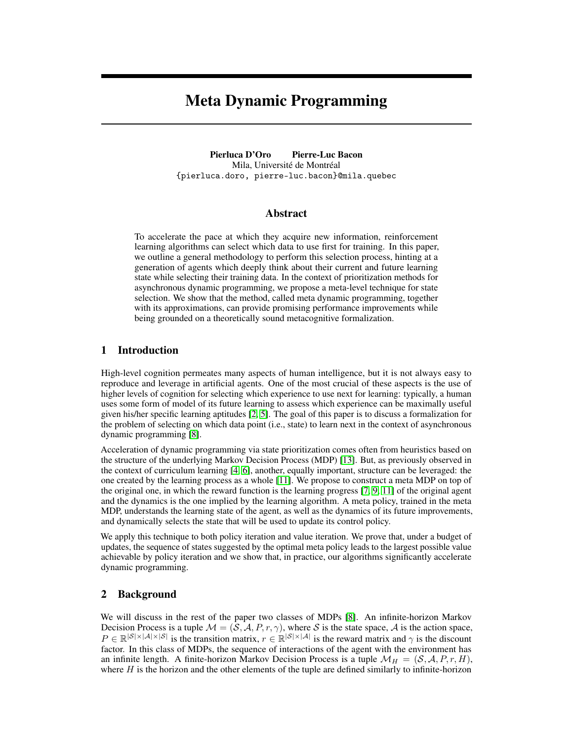# Meta Dynamic Programming

Pierluca D'Oro Pierre-Luc Bacon Mila, Université de Montréal {pierluca.doro, pierre-luc.bacon}@mila.quebec

## Abstract

To accelerate the pace at which they acquire new information, reinforcement learning algorithms can select which data to use first for training. In this paper, we outline a general methodology to perform this selection process, hinting at a generation of agents which deeply think about their current and future learning state while selecting their training data. In the context of prioritization methods for asynchronous dynamic programming, we propose a meta-level technique for state selection. We show that the method, called meta dynamic programming, together with its approximations, can provide promising performance improvements while being grounded on a theoretically sound metacognitive formalization.

## 1 Introduction

High-level cognition permeates many aspects of human intelligence, but it is not always easy to reproduce and leverage in artificial agents. One of the most crucial of these aspects is the use of higher levels of cognition for selecting which experience to use next for learning: typically, a human uses some form of model of its future learning to assess which experience can be maximally useful given his/her specific learning aptitudes [\[2,](#page-4-0) [5\]](#page-4-1). The goal of this paper is to discuss a formalization for the problem of selecting on which data point (i.e., state) to learn next in the context of asynchronous dynamic programming [\[8\]](#page-4-2).

Acceleration of dynamic programming via state prioritization comes often from heuristics based on the structure of the underlying Markov Decision Process (MDP) [\[13\]](#page-4-3). But, as previously observed in the context of curriculum learning [\[4,](#page-4-4) [6\]](#page-4-5), another, equally important, structure can be leveraged: the one created by the learning process as a whole [\[11\]](#page-4-6). We propose to construct a meta MDP on top of the original one, in which the reward function is the learning progress [\[7,](#page-4-7) [9,](#page-4-8) [11\]](#page-4-6) of the original agent and the dynamics is the one implied by the learning algorithm. A meta policy, trained in the meta MDP, understands the learning state of the agent, as well as the dynamics of its future improvements, and dynamically selects the state that will be used to update its control policy.

We apply this technique to both policy iteration and value iteration. We prove that, under a budget of updates, the sequence of states suggested by the optimal meta policy leads to the largest possible value achievable by policy iteration and we show that, in practice, our algorithms significantly accelerate dynamic programming.

## 2 Background

We will discuss in the rest of the paper two classes of MDPs [\[8\]](#page-4-2). An infinite-horizon Markov Decision Process is a tuple  $M = (\bar{S}, A, P, r, \gamma)$ , where S is the state space, A is the action space,  $P \in \mathbb{R}^{|\mathcal{S}| \times |\mathcal{A}| \times |\mathcal{S}|}$  is the transition matrix,  $r \in \mathbb{R}^{|\mathcal{S}| \times |\mathcal{A}|}$  is the reward matrix and  $\gamma$  is the discount factor. In this class of MDPs, the sequence of interactions of the agent with the environment has an infinite length. A finite-horizon Markov Decision Process is a tuple  $\mathcal{M}_H = (\mathcal{S}, \mathcal{A}, P, r, H)$ , where  $H$  is the horizon and the other elements of the tuple are defined similarly to infinite-horizon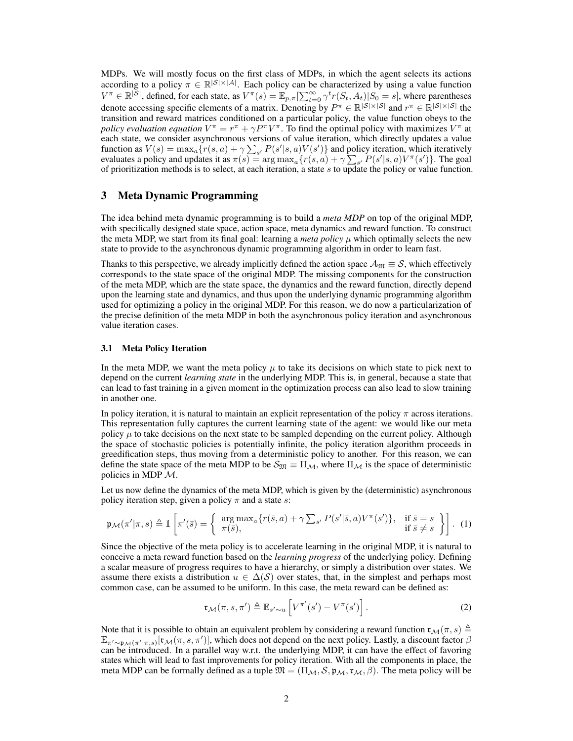MDPs. We will mostly focus on the first class of MDPs, in which the agent selects its actions according to a policy  $\pi \in \mathbb{R}^{|S| \times |A|}$ . Each policy can be characterized by using a value function  $V^{\pi} \in \mathbb{R}^{|\mathcal{S}|}$ , defined, for each state, as  $V^{\pi}(s) = \mathbb{E}_{p,\pi}[\sum_{t=0}^{\infty} \gamma^{t} r(S_t, A_t) | S_0 = s]$ , where parentheses denote accessing specific elements of a matrix. Denoting by  $P^{\pi} \in \mathbb{R}^{|\mathcal{S}| \times |\mathcal{S}|}$  and  $r^{\pi} \in \mathbb{R}^{|\mathcal{S}| \times |\mathcal{S}|}$  the transition and reward matrices conditioned on a particular policy, the value function obeys to the *policy evaluation equation*  $V^{\pi} = r^{\pi} + \gamma P^{\pi} V^{\pi}$ . To find the optimal policy with maximizes  $V^{\pi}$  at each state, we consider asynchronous versions of value iteration, which directly updates a value function as  $V(s) = \max_a \{r(s, a) + \gamma \sum_{s'} P(s'|s, a)V(s')\}$  and policy iteration, which iteratively evaluates a policy and updates it as  $\pi(s) = \arg \max_a \{r(s,a) + \gamma \sum_{s'} P(s'|s,a) V^{\pi}(s')\}$ . The goal of prioritization methods is to select, at each iteration, a state s to update the policy or value function.

## 3 Meta Dynamic Programming

The idea behind meta dynamic programming is to build a *meta MDP* on top of the original MDP, with specifically designed state space, action space, meta dynamics and reward function. To construct the meta MDP, we start from its final goal: learning a *meta policy*  $\mu$  which optimally selects the new state to provide to the asynchronous dynamic programming algorithm in order to learn fast.

Thanks to this perspective, we already implicitly defined the action space  $\mathcal{A}_{\mathfrak{M}} \equiv \mathcal{S}$ , which effectively corresponds to the state space of the original MDP. The missing components for the construction of the meta MDP, which are the state space, the dynamics and the reward function, directly depend upon the learning state and dynamics, and thus upon the underlying dynamic programming algorithm used for optimizing a policy in the original MDP. For this reason, we do now a particularization of the precise definition of the meta MDP in both the asynchronous policy iteration and asynchronous value iteration cases.

## 3.1 Meta Policy Iteration

In the meta MDP, we want the meta policy  $\mu$  to take its decisions on which state to pick next to depend on the current *learning state* in the underlying MDP. This is, in general, because a state that can lead to fast training in a given moment in the optimization process can also lead to slow training in another one.

In policy iteration, it is natural to maintain an explicit representation of the policy  $\pi$  across iterations. This representation fully captures the current learning state of the agent: we would like our meta policy  $\mu$  to take decisions on the next state to be sampled depending on the current policy. Although the space of stochastic policies is potentially infinite, the policy iteration algorithm proceeds in greedification steps, thus moving from a deterministic policy to another. For this reason, we can define the state space of the meta MDP to be  $S_{\mathfrak{M}} \equiv \Pi_{\mathcal{M}}$ , where  $\Pi_{\mathcal{M}}$  is the space of deterministic policies in MDP  $\mathcal{M}$ .

Let us now define the dynamics of the meta MDP, which is given by the (deterministic) asynchronous policy iteration step, given a policy  $\pi$  and a state s:

$$
\mathfrak{p}_{\mathcal{M}}(\pi'|\pi,s) \triangleq \mathbb{1}\left[\pi'(\bar{s}) = \left\{\begin{array}{l}\arg\max_{a}\{r(\bar{s},a) + \gamma \sum_{s'} P(s'|\bar{s},a)V^{\pi}(s')\}, & \text{if } \bar{s} = s\\ \pi(\bar{s}), & \text{if } \bar{s} \neq s\end{array}\right\}\right].\tag{1}
$$

Since the objective of the meta policy is to accelerate learning in the original MDP, it is natural to conceive a meta reward function based on the *learning progress* of the underlying policy. Defining a scalar measure of progress requires to have a hierarchy, or simply a distribution over states. We assume there exists a distribution  $u \in \Delta(S)$  over states, that, in the simplest and perhaps most common case, can be assumed to be uniform. In this case, the meta reward can be defined as:

$$
\mathfrak{r}_{\mathcal{M}}(\pi, s, \pi') \triangleq \mathbb{E}_{s' \sim u} \left[ V^{\pi'}(s') - V^{\pi}(s') \right]. \tag{2}
$$

Note that it is possible to obtain an equivalent problem by considering a reward function  $\mathfrak{r}_{\mathcal{M}}(\pi, s) \triangleq$  $\mathbb{E}_{\pi'\sim\mathfrak{p}_\mathcal{M}(\pi'|\pi,s)}[\mathfrak{r}_\mathcal{M}(\pi,s,\pi')],$  which does not depend on the next policy. Lastly, a discount factor  $\beta$ can be introduced. In a parallel way w.r.t. the underlying MDP, it can have the effect of favoring states which will lead to fast improvements for policy iteration. With all the components in place, the meta MDP can be formally defined as a tuple  $\mathfrak{M} = (\Pi_{\mathcal{M}}, \mathcal{S}, \mathfrak{p}_{\mathcal{M}}, \mathfrak{r}_{\mathcal{M}}, \beta)$ . The meta policy will be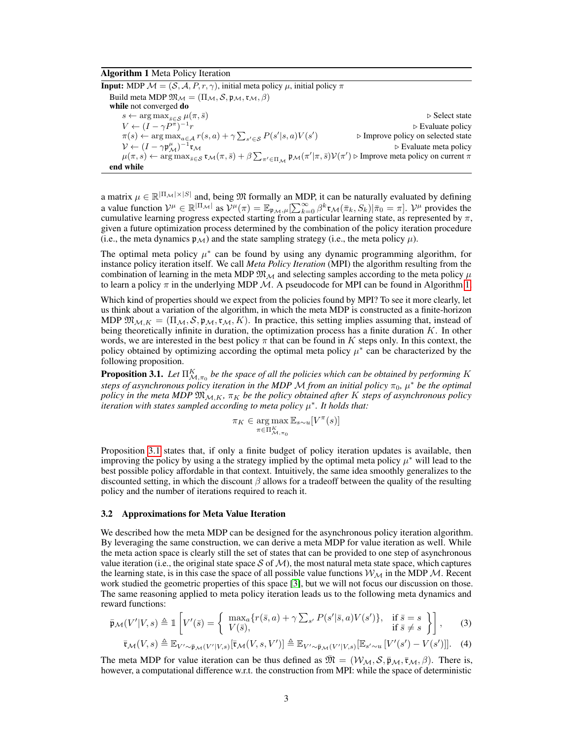#### <span id="page-2-0"></span>Algorithm 1 Meta Policy Iteration

**Input:** MDP  $M = (S, A, P, r, \gamma)$ , initial meta policy  $\mu$ , initial policy  $\pi$ Build meta MDP  $\mathfrak{M}_{\mathcal{M}} = (\Pi_{\mathcal{M}}, \mathcal{S}, \mathfrak{p}_{\mathcal{M}}, \mathfrak{r}_{\mathcal{M}}, \beta)$ while not converged do  $s \leftarrow \arg \max_{\bar{s} \in \mathcal{S}} \mu(\pi, \bar{s})$  . Select state  $V \leftarrow (I - \gamma P^{\pi})^{-1}$  $r \geq 1$  Evaluate policy  $\pi(s) \leftarrow \arg \max_{a \in \mathcal{A}} r(s, a) + \gamma \sum_{s' \in \mathcal{S}} P(s'|s, a) V(s')$  $\triangleright$  Improve policy on selected state  $\mathcal{V} \leftarrow (I - \gamma \mathfrak{p}_{\mathcal{M}}^{\mu})^{-1}$  $r_{\mathcal{M}}$   $\triangleright$  Evaluate meta policy  $\mu(\pi, s) \leftarrow \arg \max_{\bar{s} \in \mathcal{S}} \mathfrak{r}_{\mathcal{M}}(\pi, \bar{s}) + \beta \sum_{\pi' \in \Pi_{\mathcal{M}}} \mathfrak{p}_{\mathcal{M}}(\pi'|\pi, \bar{s}) \mathcal{V}(\pi') \triangleright \text{Improve meta policy on current } \pi$ end while

a matrix  $\mu \in \mathbb{R}^{|\Pi_{\mathcal{M}}| \times |S|}$  and, being  $\mathfrak{M}$  formally an MDP, it can be naturally evaluated by defining a value function  $V^{\mu} \in \mathbb{R}^{|\Pi_{\mathcal{M}}|}$  as  $V^{\mu}(\pi) = \mathbb{E}_{\mathfrak{p}_{\mathcal{M}},\mu}[\sum_{k=0}^{\infty} \beta^k \mathfrak{r}_{\mathcal{M}}(\bar{\pi}_k, S_k)|\bar{\pi}_0 = \pi]$ .  $V^{\mu}$  provides the cumulative learning progress expected starting from a particular learning state, as represented by  $\pi$ , given a future optimization process determined by the combination of the policy iteration procedure (i.e., the meta dynamics  $\mathfrak{p}_M$ ) and the state sampling strategy (i.e., the meta policy  $\mu$ ).

The optimal meta policy  $\mu^*$  can be found by using any dynamic programming algorithm, for instance policy iteration itself. We call *Meta Policy Iteration* (MPI) the algorithm resulting from the combination of learning in the meta MDP  $\mathfrak{M}_{\mathcal{M}}$  and selecting samples according to the meta policy  $\mu$ to learn a policy  $\pi$  in the underlying MDP M. A pseudocode for MPI can be found in Algorithm [1.](#page-2-0)

Which kind of properties should we expect from the policies found by MPI? To see it more clearly, let us think about a variation of the algorithm, in which the meta MDP is constructed as a finite-horizon MDP  $\mathfrak{M}_{\mathcal{M},K} = (\Pi_{\mathcal{M}}, \mathcal{S}, \mathfrak{p}_{\mathcal{M}}, \mathfrak{r}_{\mathcal{M}}, K)$ . In practice, this setting implies assuming that, instead of being theoretically infinite in duration, the optimization process has a finite duration  $K$ . In other words, we are interested in the best policy  $\pi$  that can be found in K steps only. In this context, the policy obtained by optimizing according the optimal meta policy  $\mu^*$  can be characterized by the following proposition.

<span id="page-2-1"></span>**Proposition 3.1.** Let  $\Pi_{\mathcal{M}, \pi_0}^K$  be the space of all the policies which can be obtained by performing  $K$ *steps of asynchronous policy iteration in the MDP M from an initial policy*  $\pi_0$ ,  $\mu^*$  *be the optimal policy in the meta MDP*  $\mathfrak{M}_{M,K}$ ,  $\pi_K$  *be the policy obtained after* K *steps of asynchronous policy iteration with states sampled according to meta policy* µ ∗ *. It holds that:*

$$
\pi_K \in \argmax_{\pi \in \Pi^K_{\mathcal{M}, \pi_0}} \mathbb{E}_{s \sim u}[V^\pi(s)]
$$

Proposition [3.1](#page-2-1) states that, if only a finite budget of policy iteration updates is available, then improving the policy by using a the strategy implied by the optimal meta policy  $\mu^*$  will lead to the best possible policy affordable in that context. Intuitively, the same idea smoothly generalizes to the discounted setting, in which the discount  $\beta$  allows for a tradeoff between the quality of the resulting policy and the number of iterations required to reach it.

#### 3.2 Approximations for Meta Value Iteration

We described how the meta MDP can be designed for the asynchronous policy iteration algorithm. By leveraging the same construction, we can derive a meta MDP for value iteration as well. While the meta action space is clearly still the set of states that can be provided to one step of asynchronous value iteration (i.e., the original state space S of M), the most natural meta state space, which captures the learning state, is in this case the space of all possible value functions  $W_M$  in the MDP M. Recent work studied the geometric properties of this space [\[3\]](#page-4-9), but we will not focus our discussion on those. The same reasoning applied to meta policy iteration leads us to the following meta dynamics and reward functions:

$$
\bar{\mathfrak{p}}_{\mathcal{M}}(V'|V,s) \triangleq \mathbbm{1}\left[V'(\bar{s}) = \left\{\begin{array}{ll}\max_{a} \{r(\bar{s},a) + \gamma \sum_{s'} P(s'|\bar{s},a)V(s')\}, & \text{if } \bar{s} = s\\V(\bar{s}), & \text{if } \bar{s} \neq s\end{array}\right\}\right],\qquad(3)
$$

$$
\overline{\mathfrak{r}}_{\mathcal{M}}(V,s) \triangleq \mathbb{E}_{V' \sim \overline{\mathfrak{p}}_{\mathcal{M}}(V'|V,s)}[\overline{\mathfrak{r}}_{\mathcal{M}}(V,s,V')] \triangleq \mathbb{E}_{V' \sim \overline{\mathfrak{p}}_{\mathcal{M}}(V'|V,s)}[\mathbb{E}_{s' \sim u}[V'(s') - V(s')]]. \quad (4)
$$

The meta MDP for value iteration can be thus defined as  $\mathfrak{M} = (\mathcal{W}_M, \mathcal{S}, \bar{\mathfrak{p}}_M, \bar{\mathfrak{r}}_M, \beta)$ . There is, however, a computational difference w.r.t. the construction from MPI: while the space of deterministic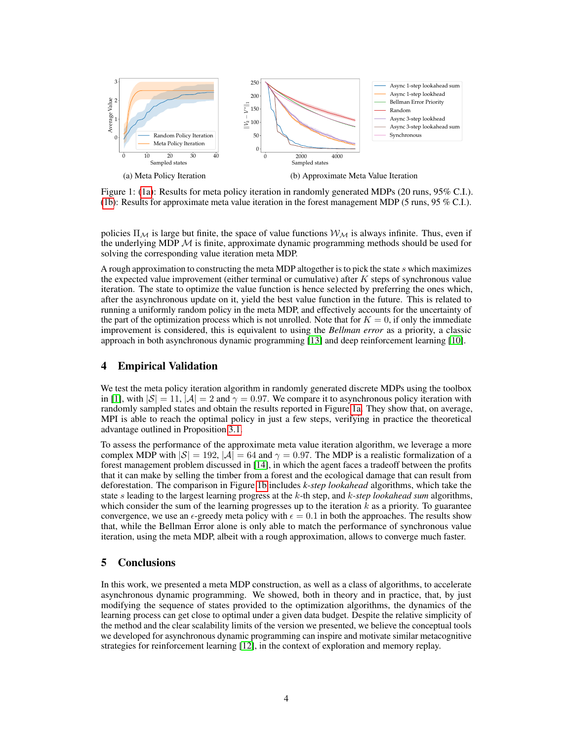<span id="page-3-0"></span>

<span id="page-3-1"></span>Figure 1: [\(1a\)](#page-3-0): Results for meta policy iteration in randomly generated MDPs (20 runs, 95% C.I.). [\(1b\)](#page-3-1): Results for approximate meta value iteration in the forest management MDP (5 runs, 95 % C.I.).

policies  $\Pi_M$  is large but finite, the space of value functions  $W_M$  is always infinite. Thus, even if the underlying MDP  $M$  is finite, approximate dynamic programming methods should be used for solving the corresponding value iteration meta MDP.

A rough approximation to constructing the meta MDP altogether is to pick the state s which maximizes the expected value improvement (either terminal or cumulative) after  $K$  steps of synchronous value iteration. The state to optimize the value function is hence selected by preferring the ones which, after the asynchronous update on it, yield the best value function in the future. This is related to running a uniformly random policy in the meta MDP, and effectively accounts for the uncertainty of the part of the optimization process which is not unrolled. Note that for  $K = 0$ , if only the immediate improvement is considered, this is equivalent to using the *Bellman error* as a priority, a classic approach in both asynchronous dynamic programming [\[13\]](#page-4-3) and deep reinforcement learning [\[10\]](#page-4-10).

# 4 Empirical Validation

We test the meta policy iteration algorithm in randomly generated discrete MDPs using the toolbox in [\[1\]](#page-4-11), with  $|S| = 11$ ,  $|A| = 2$  and  $\gamma = 0.97$ . We compare it to asynchronous policy iteration with randomly sampled states and obtain the results reported in Figure [1a.](#page-3-0) They show that, on average, MPI is able to reach the optimal policy in just a few steps, verifying in practice the theoretical advantage outlined in Proposition [3.1.](#page-2-1)

To assess the performance of the approximate meta value iteration algorithm, we leverage a more complex MDP with  $|\mathcal{S}| = 192$ ,  $|\mathcal{A}| = 64$  and  $\gamma = 0.97$ . The MDP is a realistic formalization of a forest management problem discussed in [\[14\]](#page-4-12), in which the agent faces a tradeoff between the profits that it can make by selling the timber from a forest and the ecological damage that can result from deforestation. The comparison in Figure [1b](#page-3-1) includes *k-step lookahead* algorithms, which take the state s leading to the largest learning progress at the k-th step, and k*-step lookahead sum* algorithms, which consider the sum of the learning progresses up to the iteration  $k$  as a priority. To guarantee convergence, we use an  $\epsilon$ -greedy meta policy with  $\epsilon = 0.1$  in both the approaches. The results show that, while the Bellman Error alone is only able to match the performance of synchronous value iteration, using the meta MDP, albeit with a rough approximation, allows to converge much faster.

# 5 Conclusions

In this work, we presented a meta MDP construction, as well as a class of algorithms, to accelerate asynchronous dynamic programming. We showed, both in theory and in practice, that, by just modifying the sequence of states provided to the optimization algorithms, the dynamics of the learning process can get close to optimal under a given data budget. Despite the relative simplicity of the method and the clear scalability limits of the version we presented, we believe the conceptual tools we developed for asynchronous dynamic programming can inspire and motivate similar metacognitive strategies for reinforcement learning [\[12\]](#page-4-13), in the context of exploration and memory replay.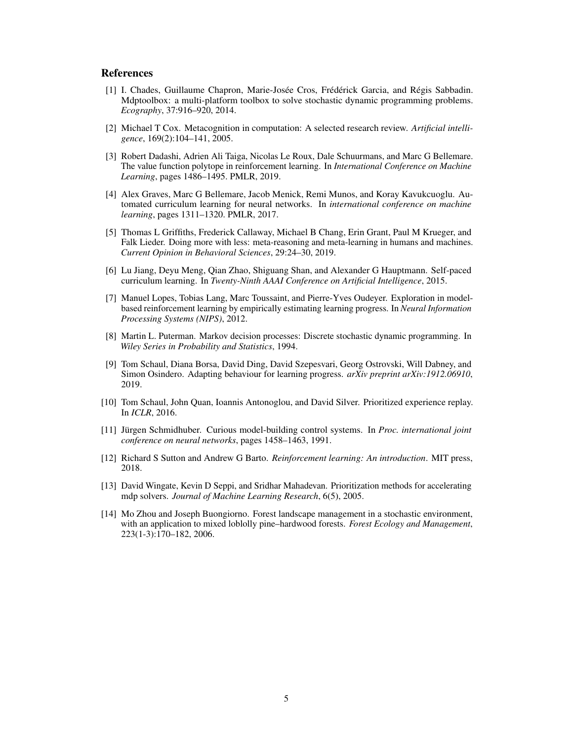## **References**

- <span id="page-4-11"></span>[1] I. Chades, Guillaume Chapron, Marie-Josée Cros, Frédérick Garcia, and Régis Sabbadin. Mdptoolbox: a multi-platform toolbox to solve stochastic dynamic programming problems. *Ecography*, 37:916–920, 2014.
- <span id="page-4-0"></span>[2] Michael T Cox. Metacognition in computation: A selected research review. *Artificial intelligence*, 169(2):104–141, 2005.
- <span id="page-4-9"></span>[3] Robert Dadashi, Adrien Ali Taiga, Nicolas Le Roux, Dale Schuurmans, and Marc G Bellemare. The value function polytope in reinforcement learning. In *International Conference on Machine Learning*, pages 1486–1495. PMLR, 2019.
- <span id="page-4-4"></span>[4] Alex Graves, Marc G Bellemare, Jacob Menick, Remi Munos, and Koray Kavukcuoglu. Automated curriculum learning for neural networks. In *international conference on machine learning*, pages 1311–1320. PMLR, 2017.
- <span id="page-4-1"></span>[5] Thomas L Griffiths, Frederick Callaway, Michael B Chang, Erin Grant, Paul M Krueger, and Falk Lieder. Doing more with less: meta-reasoning and meta-learning in humans and machines. *Current Opinion in Behavioral Sciences*, 29:24–30, 2019.
- <span id="page-4-5"></span>[6] Lu Jiang, Deyu Meng, Qian Zhao, Shiguang Shan, and Alexander G Hauptmann. Self-paced curriculum learning. In *Twenty-Ninth AAAI Conference on Artificial Intelligence*, 2015.
- <span id="page-4-7"></span>[7] Manuel Lopes, Tobias Lang, Marc Toussaint, and Pierre-Yves Oudeyer. Exploration in modelbased reinforcement learning by empirically estimating learning progress. In *Neural Information Processing Systems (NIPS)*, 2012.
- <span id="page-4-2"></span>[8] Martin L. Puterman. Markov decision processes: Discrete stochastic dynamic programming. In *Wiley Series in Probability and Statistics*, 1994.
- <span id="page-4-8"></span>[9] Tom Schaul, Diana Borsa, David Ding, David Szepesvari, Georg Ostrovski, Will Dabney, and Simon Osindero. Adapting behaviour for learning progress. *arXiv preprint arXiv:1912.06910*, 2019.
- <span id="page-4-10"></span>[10] Tom Schaul, John Quan, Ioannis Antonoglou, and David Silver. Prioritized experience replay. In *ICLR*, 2016.
- <span id="page-4-6"></span>[11] Jürgen Schmidhuber. Curious model-building control systems. In *Proc. international joint conference on neural networks*, pages 1458–1463, 1991.
- <span id="page-4-13"></span>[12] Richard S Sutton and Andrew G Barto. *Reinforcement learning: An introduction*. MIT press, 2018.
- <span id="page-4-3"></span>[13] David Wingate, Kevin D Seppi, and Sridhar Mahadevan. Prioritization methods for accelerating mdp solvers. *Journal of Machine Learning Research*, 6(5), 2005.
- <span id="page-4-12"></span>[14] Mo Zhou and Joseph Buongiorno. Forest landscape management in a stochastic environment, with an application to mixed loblolly pine–hardwood forests. *Forest Ecology and Management*, 223(1-3):170–182, 2006.